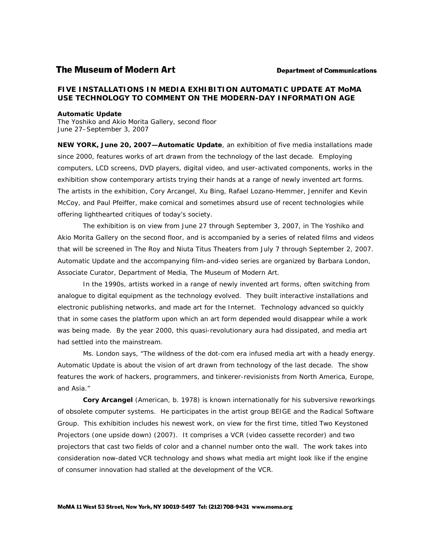# **The Museum of Modern Art**

#### **Department of Communications**

# **FIVE INSTALLATIONS IN MEDIA EXHIBITION** *AUTOMATIC UPDATE* **AT MoMA USE TECHNOLOGY TO COMMENT ON THE MODERN-DAY INFORMATION AGE**

#### *Automatic Update*

The Yoshiko and Akio Morita Gallery, second floor June 27–September 3, 2007

**NEW YORK, June 20, 2007—***Automatic Update*, an exhibition of five media installations made since 2000, features works of art drawn from the technology of the last decade. Employing computers, LCD screens, DVD players, digital video, and user-activated components, works in the exhibition show contemporary artists trying their hands at a range of newly invented art forms. The artists in the exhibition, Cory Arcangel, Xu Bing, Rafael Lozano-Hemmer, Jennifer and Kevin McCoy, and Paul Pfeiffer, make comical and sometimes absurd use of recent technologies while offering lighthearted critiques of today's society.

The exhibition is on view from June 27 through September 3, 2007, in The Yoshiko and Akio Morita Gallery on the second floor, and is accompanied by a series of related films and videos that will be screened in The Roy and Niuta Titus Theaters from July 7 through September 2, 2007. *Automatic Update* and the accompanying film-and-video series are organized by Barbara London, Associate Curator, Department of Media, The Museum of Modern Art.

In the 1990s, artists worked in a range of newly invented art forms, often switching from analogue to digital equipment as the technology evolved. They built interactive installations and electronic publishing networks, and made art for the Internet. Technology advanced so quickly that in some cases the platform upon which an art form depended would disappear while a work was being made. By the year 2000, this quasi-revolutionary aura had dissipated, and media art had settled into the mainstream.

Ms. London says, "The wildness of the dot-com era infused media art with a heady energy. *Automatic Update* is about the vision of art drawn from technology of the last decade. The show features the work of hackers, programmers, and tinkerer-revisionists from North America, Europe, and Asia."

**Cory Arcangel** (American, b. 1978) is known internationally for his subversive reworkings of obsolete computer systems. He participates in the artist group BEIGE and the Radical Software Group. This exhibition includes his newest work, on view for the first time, titled *Two Keystoned Projectors (one upside down)* (2007). It comprises a VCR (video cassette recorder) and two projectors that cast two fields of color and a channel number onto the wall. The work takes into consideration now-dated VCR technology and shows what media art might look like if the engine of consumer innovation had stalled at the development of the VCR.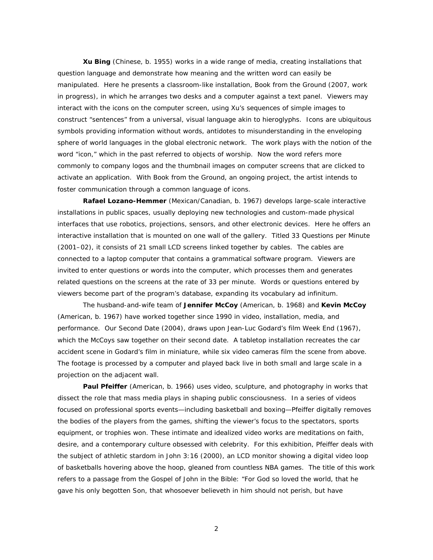**Xu Bing** (Chinese, b. 1955) works in a wide range of media, creating installations that question language and demonstrate how meaning and the written word can easily be manipulated. Here he presents a classroom-like installation, *Book from the Ground* (2007, work in progress), in which he arranges two desks and a computer against a text panel. Viewers may interact with the icons on the computer screen, using Xu's sequences of simple images to construct "sentences" from a universal, visual language akin to hieroglyphs. Icons are ubiquitous symbols providing information without words, antidotes to misunderstanding in the enveloping sphere of world languages in the global electronic network. The work plays with the notion of the word "icon," which in the past referred to objects of worship. Now the word refers more commonly to company logos and the thumbnail images on computer screens that are clicked to activate an application. With *Book from the Ground,* an ongoing project, the artist intends to foster communication through a common language of icons.

**Rafael Lozano-Hemmer** (Mexican/Canadian, b. 1967) develops large-scale interactive installations in public spaces, usually deploying new technologies and custom-made physical interfaces that use robotics, projections, sensors, and other electronic devices. Here he offers an interactive installation that is mounted on one wall of the gallery. Titled *33 Questions per Minute* (2001–02), it consists of 21 small LCD screens linked together by cables. The cables are connected to a laptop computer that contains a grammatical software program. Viewers are invited to enter questions or words into the computer, which processes them and generates related questions on the screens at the rate of 33 per minute. Words or questions entered by viewers become part of the program's database, expanding its vocabulary ad infinitum.

The husband-and-wife team of **Jennifer McCoy** (American, b. 1968) and **Kevin McCoy** (American, b. 1967) have worked together since 1990 in video, installation, media, and performance. *Our Second Date* (2004), draws upon Jean-Luc Godard's film *Week End* (1967), which the McCoys saw together on their second date. A tabletop installation recreates the car accident scene in Godard's film in miniature, while six video cameras film the scene from above. The footage is processed by a computer and played back live in both small and large scale in a projection on the adjacent wall.

**Paul Pfeiffer** (American, b. 1966) uses video, sculpture, and photography in works that dissect the role that mass media plays in shaping public consciousness. In a series of videos focused on professional sports events—including basketball and boxing—Pfeiffer digitally removes the bodies of the players from the games, shifting the viewer's focus to the spectators, sports equipment, or trophies won. These intimate and idealized video works are meditations on faith, desire, and a contemporary culture obsessed with celebrity. For this exhibition, Pfeiffer deals with the subject of athletic stardom in *John 3:16* (2000), an LCD monitor showing a digital video loop of basketballs hovering above the hoop, gleaned from countless NBA games. The title of this work refers to a passage from the Gospel of John in the Bible: "For God so loved the world, that he gave his only begotten Son, that whosoever believeth in him should not perish, but have

2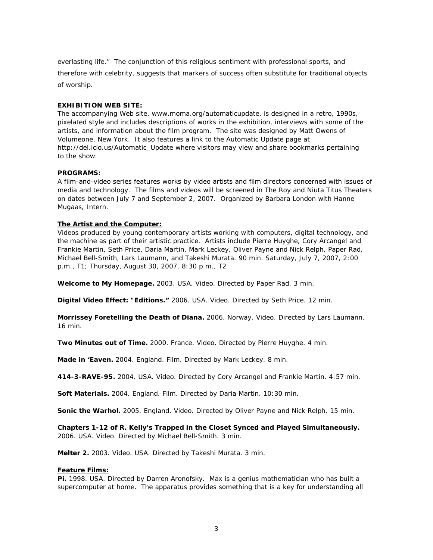everlasting life." The conjunction of this religious sentiment with professional sports, and therefore with celebrity, suggests that markers of success often substitute for traditional objects of worship.

# **EXHIBITION WEB SITE:**

The accompanying Web site, www.moma.org/automaticupdate, is designed in a retro, 1990s, pixelated style and includes descriptions of works in the exhibition, interviews with some of the artists, and information about the film program. The site was designed by Matt Owens of Volumeone, New York. It also features a link to the *Automatic Update* page at http://del.icio.us/Automatic\_Update where visitors may view and share bookmarks pertaining to the show.

# **PROGRAMS:**

A film-and-video series features works by video artists and film directors concerned with issues of media and technology. The films and videos will be screened in The Roy and Niuta Titus Theaters on dates between July 7 and September 2, 2007. Organized by Barbara London with Hanne Mugaas, Intern.

# **The Artist and the Computer:**

Videos produced by young contemporary artists working with computers, digital technology, and the machine as part of their artistic practice. Artists include Pierre Huyghe, Cory Arcangel and Frankie Martin, Seth Price, Daria Martin, Mark Leckey, Oliver Payne and Nick Relph, Paper Rad, Michael Bell-Smith, Lars Laumann, and Takeshi Murata. 90 min. Saturday, July 7, 2007, 2:00 p.m., T1; Thursday, August 30, 2007, 8:30 p.m., T2

**Welcome to My Homepage.** 2003. USA. Video. Directed by Paper Rad. 3 min.

**Digital Video Effect: "Editions."** 2006. USA. Video. Directed by Seth Price. 12 min.

**Morrissey Foretelling the Death of Diana.** 2006. Norway. Video. Directed by Lars Laumann. 16 min.

**Two Minutes out of Time.** 2000. France. Video. Directed by Pierre Huyghe. 4 min.

**Made in 'Eaven.** 2004. England. Film. Directed by Mark Leckey. 8 min.

**414-3-RAVE-95.** 2004. USA. Video. Directed by Cory Arcangel and Frankie Martin. 4:57 min.

**Soft Materials.** 2004. England. Film. Directed by Daria Martin. 10:30 min.

**Sonic the Warhol.** 2005. England. Video. Directed by Oliver Payne and Nick Relph. 15 min.

**Chapters 1-12 of R. Kelly's Trapped in the Closet Synced and Played Simultaneously.**  2006. USA. Video. Directed by Michael Bell-Smith. 3 min.

**Melter 2.** 2003. Video. USA. Directed by Takeshi Murata. 3 min.

### **Feature Films:**

**Pi.** 1998. USA. Directed by Darren Aronofsky. Max is a genius mathematician who has built a supercomputer at home. The apparatus provides something that is a key for understanding all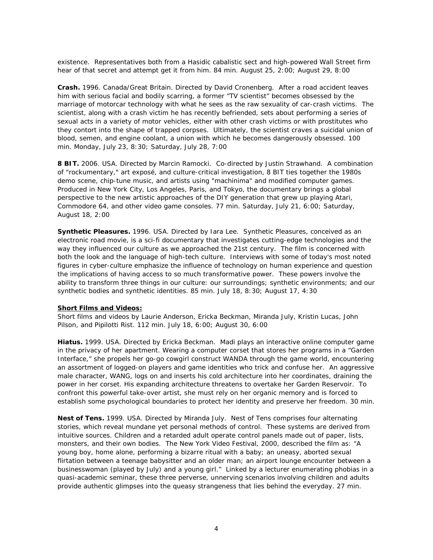existence. Representatives both from a Hasidic cabalistic sect and high-powered Wall Street firm hear of that secret and attempt get it from him. 84 min. August 25, 2:00; August 29, 8:00

**Crash.** 1996. Canada/Great Britain. Directed by David Cronenberg. After a road accident leaves him with serious facial and bodily scarring, a former "TV scientist" becomes obsessed by the marriage of motorcar technology with what he sees as the raw sexuality of car-crash victims. The scientist, along with a crash victim he has recently befriended, sets about performing a series of sexual acts in a variety of motor vehicles, either with other crash victims or with prostitutes who they contort into the shape of trapped corpses. Ultimately, the scientist craves a suicidal union of blood, semen, and engine coolant, a union with which he becomes dangerously obsessed. 100 min. Monday, July 23, 8:30; Saturday, July 28, 7:00

**8 BIT.** 2006. USA. Directed by Marcin Ramocki. Co-directed by Justin Strawhand. A combination of "rockumentary," art exposé, and culture-critical investigation, *8 BIT* ties together the 1980s demo scene, chip-tune music, and artists using "machinima" and modified computer games. Produced in New York City, Los Angeles, Paris, and Tokyo, the documentary brings a global perspective to the new artistic approaches of the DIY generation that grew up playing Atari, Commodore 64, and other video game consoles. 77 min. Saturday, July 21, 6:00; Saturday, August 18, 2:00

**Synthetic Pleasures.** 1996. USA. Directed by Iara Lee. *Synthetic Pleasures*, conceived as an electronic road movie, is a sci-fi documentary that investigates cutting-edge technologies and the way they influenced our culture as we approached the 21st century. The film is concerned with both the look and the language of high-tech culture. Interviews with some of today's most noted figures in cyber-culture emphasize the influence of technology on human experience and question the implications of having access to so much transformative power. These powers involve the ability to transform three things in our culture: our surroundings; synthetic environments; and our synthetic bodies and synthetic identities. 85 min. July 18, 8:30; August 17, 4:30

### **Short Films and Videos:**

Short films and videos by Laurie Anderson, Ericka Beckman, Miranda July, Kristin Lucas, John Pilson, and Pipilotti Rist. 112 min. July 18, 6:00; August 30, 6:00

**Hiatu***s***.** 1999. USA. Directed by Ericka Beckman. Madi plays an interactive online computer game in the privacy of her apartment. Wearing a computer corset that stores her programs in a "Garden Interface," she propels her go-go cowgirl construct WANDA through the game world, encountering an assortment of logged-on players and game identities who trick and confuse her. An aggressive male character, WANG, logs on and inserts his cold architecture into her coordinates, draining the power in her corset. His expanding architecture threatens to overtake her Garden Reservoir. To confront this powerful take-over artist, she must rely on her organic memory and is forced to establish some psychological boundaries to protect her identity and preserve her freedom. 30 min.

**Nest of Tens.** 1999. USA. Directed by Miranda July. *Nest of Tens* comprises four alternating stories, which reveal mundane yet personal methods of control. These systems are derived from intuitive sources. Children and a retarded adult operate control panels made out of paper, lists, monsters, and their own bodies. The New York Video Festival, 2000, described the film as: "A young boy, home alone, performing a bizarre ritual with a baby; an uneasy, aborted sexual flirtation between a teenage babysitter and an older man; an airport lounge encounter between a businesswoman (played by July) and a young girl." Linked by a lecturer enumerating phobias in a quasi-academic seminar, these three perverse, unnerving scenarios involving children and adults provide authentic glimpses into the queasy strangeness that lies behind the everyday. 27 min.